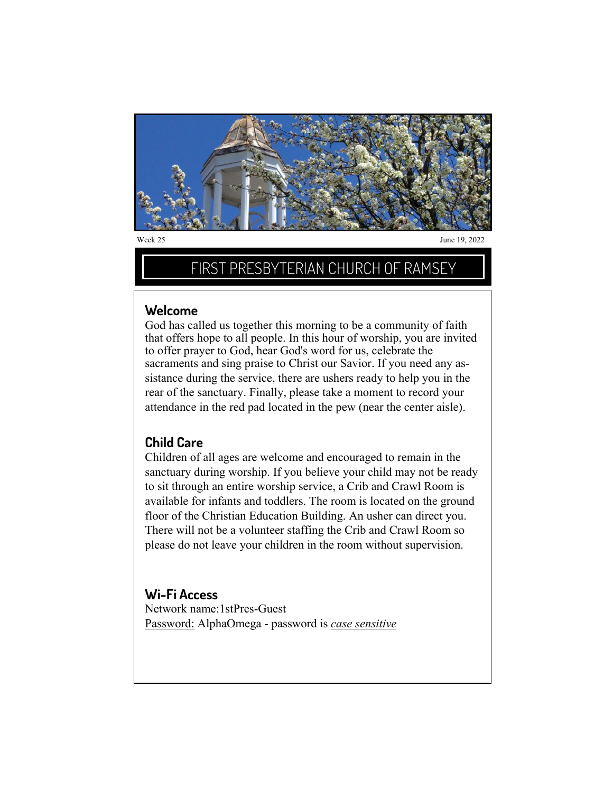

# FIRST PRESBYTERIAN CHURCH OF RAMSEY

### **Welcome**

God has called us together this morning to be a community of faith that offers hope to all people. In this hour of worship, you are invited to offer prayer to God, hear God's word for us, celebrate the sacraments and sing praise to Christ our Savior. If you need any assistance during the service, there are ushers ready to help you in the rear of the sanctuary. Finally, please take a moment to record your attendance in the red pad located in the pew (near the center aisle).

## **Child Care**

Children of all ages are welcome and encouraged to remain in the sanctuary during worship. If you believe your child may not be ready to sit through an entire worship service, a Crib and Crawl Room is available for infants and toddlers. The room is located on the ground floor of the Christian Education Building. An usher can direct you. There will not be a volunteer staffing the Crib and Crawl Room so please do not leave your children in the room without supervision.

## **Wi-Fi Access**

Network name:1stPres-Guest Password: AlphaOmega - password is *case sensitive*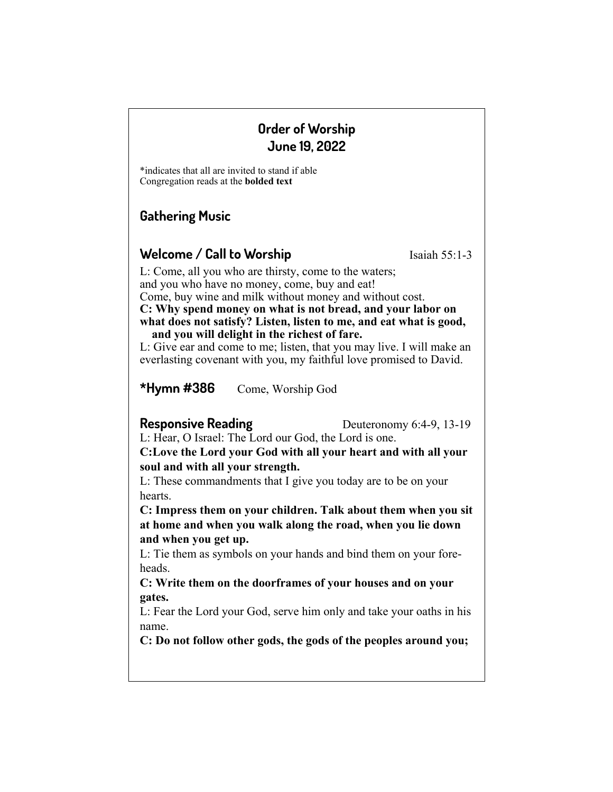# **Order of Worship June 19, 2022**

\*indicates that all are invited to stand if able Congregation reads at the **bolded text**

# **Gathering Music**

# **Welcome / Call to Worship** Isaiah 55:1-3

L: Come, all you who are thirsty, come to the waters; and you who have no money, come, buy and eat! Come, buy wine and milk without money and without cost. **C: Why spend money on what is not bread, and your labor on what does not satisfy? Listen, listen to me, and eat what is good, and you will delight in the richest of fare.**

L: Give ear and come to me; listen, that you may live. I will make an everlasting covenant with you, my faithful love promised to David.

**\*Hymn #386** Come, Worship God

**Responsive Reading** Deuteronomy 6:4-9, 13-19

L: Hear, O Israel: The Lord our God, the Lord is one.

**C:Love the Lord your God with all your heart and with all your soul and with all your strength.** 

L: These commandments that I give you today are to be on your hearts.

**C: Impress them on your children. Talk about them when you sit at home and when you walk along the road, when you lie down and when you get up.** 

L: Tie them as symbols on your hands and bind them on your foreheads.

**C: Write them on the doorframes of your houses and on your gates.** 

L: Fear the Lord your God, serve him only and take your oaths in his name.

**C: Do not follow other gods, the gods of the peoples around you;**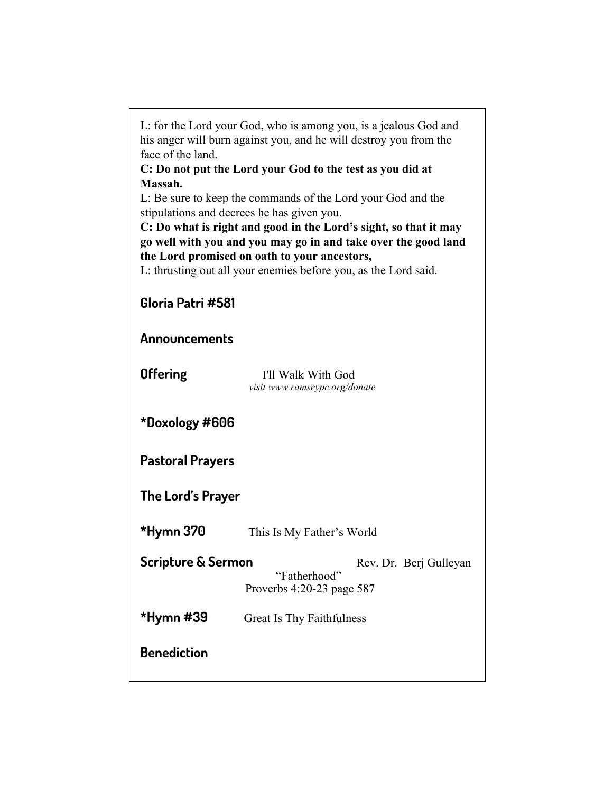| L: for the Lord your God, who is among you, is a jealous God and<br>his anger will burn against you, and he will destroy you from the<br>face of the land.<br>C: Do not put the Lord your God to the test as you did at<br>Massah.<br>L: Be sure to keep the commands of the Lord your God and the<br>stipulations and decrees he has given you.<br>C: Do what is right and good in the Lord's sight, so that it may<br>go well with you and you may go in and take over the good land<br>the Lord promised on oath to your ancestors,<br>L: thrusting out all your enemies before you, as the Lord said. |                                                                     |  |
|-----------------------------------------------------------------------------------------------------------------------------------------------------------------------------------------------------------------------------------------------------------------------------------------------------------------------------------------------------------------------------------------------------------------------------------------------------------------------------------------------------------------------------------------------------------------------------------------------------------|---------------------------------------------------------------------|--|
| Gloria Patri #581                                                                                                                                                                                                                                                                                                                                                                                                                                                                                                                                                                                         |                                                                     |  |
| Announcements                                                                                                                                                                                                                                                                                                                                                                                                                                                                                                                                                                                             |                                                                     |  |
| <b>Offering</b>                                                                                                                                                                                                                                                                                                                                                                                                                                                                                                                                                                                           | I'll Walk With God<br>visit www.ramseypc.org/donate                 |  |
| *Doxology #606                                                                                                                                                                                                                                                                                                                                                                                                                                                                                                                                                                                            |                                                                     |  |
| <b>Pastoral Prayers</b>                                                                                                                                                                                                                                                                                                                                                                                                                                                                                                                                                                                   |                                                                     |  |
| The Lord's Prayer                                                                                                                                                                                                                                                                                                                                                                                                                                                                                                                                                                                         |                                                                     |  |
| *Hymn 370                                                                                                                                                                                                                                                                                                                                                                                                                                                                                                                                                                                                 | This Is My Father's World                                           |  |
| <b>Scripture &amp; Sermon</b>                                                                                                                                                                                                                                                                                                                                                                                                                                                                                                                                                                             | Rev. Dr. Berj Gulleyan<br>"Fatherhood"<br>Proverbs 4:20-23 page 587 |  |
| *Hymn #39                                                                                                                                                                                                                                                                                                                                                                                                                                                                                                                                                                                                 | Great Is Thy Faithfulness                                           |  |
| <b>Benediction</b>                                                                                                                                                                                                                                                                                                                                                                                                                                                                                                                                                                                        |                                                                     |  |